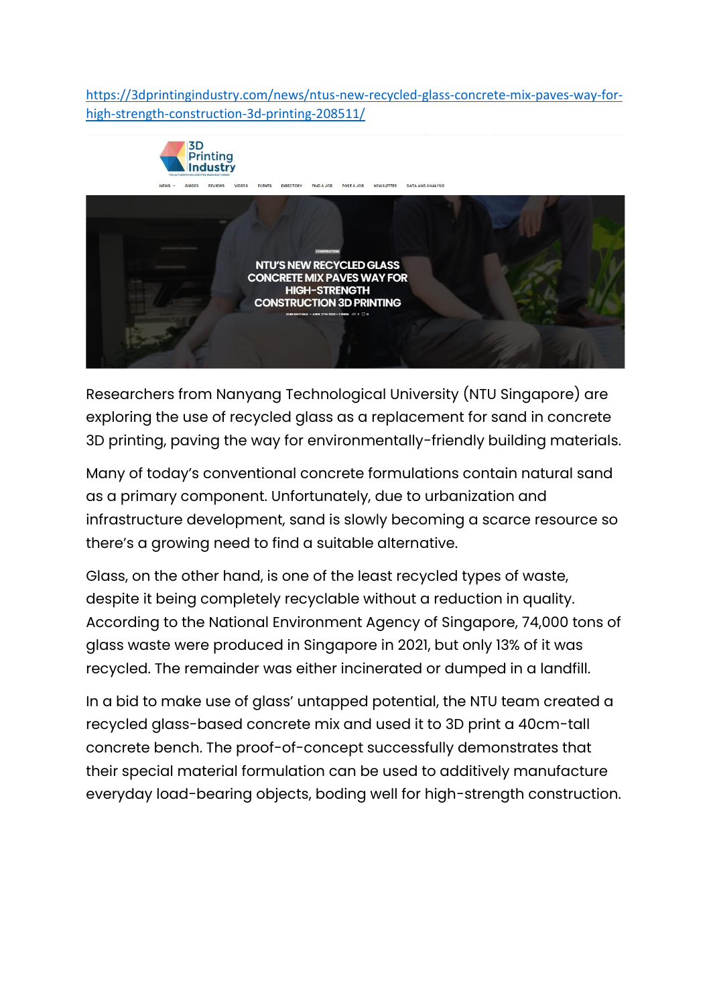[https://3dprintingindustry.com/news/ntus-new-recycled-glass-concrete-mix-paves-way-for](https://3dprintingindustry.com/news/ntus-new-recycled-glass-concrete-mix-paves-way-for-high-strength-construction-3d-printing-208511/)[high-strength-construction-3d-printing-208511/](https://3dprintingindustry.com/news/ntus-new-recycled-glass-concrete-mix-paves-way-for-high-strength-construction-3d-printing-208511/)



Researchers from Nanyang Technological University (NTU Singapore) are exploring the use of recycled glass as a replacement for sand in concrete 3D printing, paving the way for environmentally-friendly building materials.

Many of today's conventional concrete formulations contain natural sand as a primary component. Unfortunately, due to urbanization and infrastructure development, sand is slowly becoming a scarce resource so there's a growing need to find a suitable alternative.

Glass, on the other hand, is one of the least recycled types of waste, despite it being completely recyclable without a reduction in quality. According to the National Environment Agency of Singapore, 74,000 tons of glass waste were produced in Singapore in 2021, but only 13% of it was recycled. The remainder was either incinerated or dumped in a landfill.

In a bid to make use of glass' untapped potential, the NTU team created a recycled glass-based concrete mix and used it to 3D print a 40cm-tall concrete bench. The proof-of-concept successfully demonstrates that their special material formulation can be used to additively manufacture everyday load-bearing objects, boding well for high-strength construction.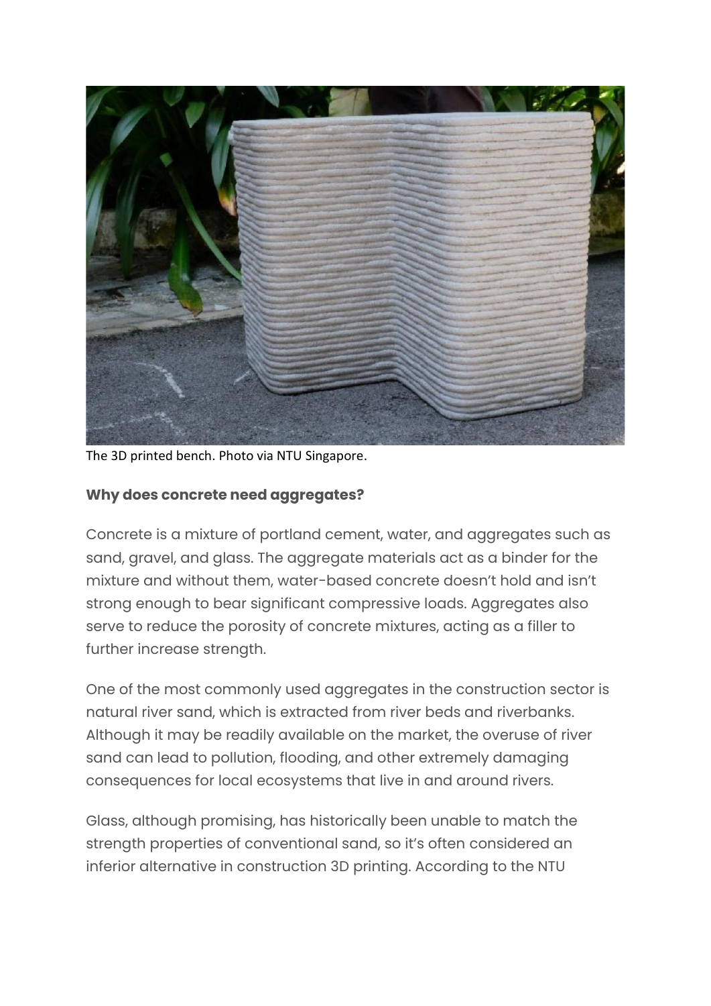

The 3D printed bench. Photo via NTU Singapore.

## **Why does concrete need aggregates?**

Concrete is a mixture of portland cement, water, and aggregates such as sand, gravel, and glass. The aggregate materials act as a binder for the mixture and without them, water-based concrete doesn't hold and isn't strong enough to bear significant compressive loads. Aggregates also serve to reduce the porosity of concrete mixtures, acting as a filler to further increase strength.

One of the most commonly used aggregates in the construction sector is natural river sand, which is extracted from river beds and riverbanks. Although it may be readily available on the market, the overuse of river sand can lead to pollution, flooding, and other extremely damaging consequences for local ecosystems that live in and around rivers.

Glass, although promising, has historically been unable to match the strength properties of conventional sand, so it's often considered an inferior alternative in construction 3D printing. According to the NTU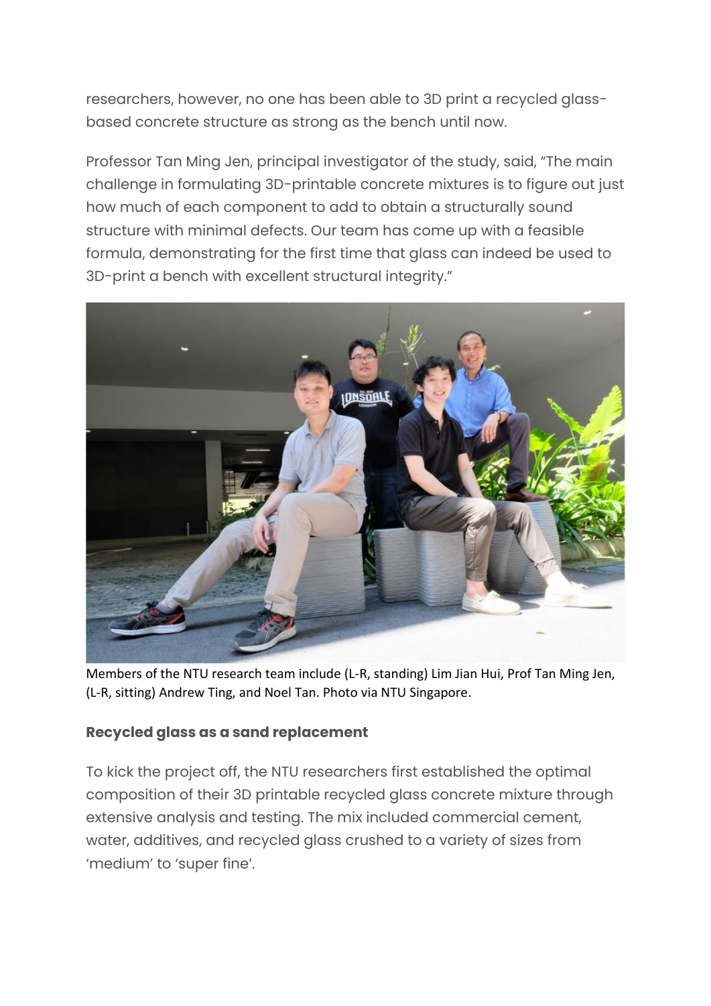researchers, however, no one has been able to 3D print a recycled glassbased concrete structure as strong as the bench until now.

Professor Tan Ming Jen, principal investigator of the study, said, "The main challenge in formulating 3D-printable concrete mixtures is to figure out just how much of each component to add to obtain a structurally sound structure with minimal defects. Our team has come up with a feasible formula, demonstrating for the first time that glass can indeed be used to 3D-print a bench with excellent structural integrity."



Members of the NTU research team include (L-R, standing) Lim Jian Hui, Prof Tan Ming Jen, (L-R, sitting) Andrew Ting, and Noel Tan. Photo via NTU Singapore.

## **Recycled glass as a sand replacement**

To kick the project off, the NTU researchers first established the optimal composition of their 3D printable recycled glass concrete mixture through extensive analysis and testing. The mix included commercial cement, water, additives, and recycled glass crushed to a variety of sizes from 'medium' to 'super fine'.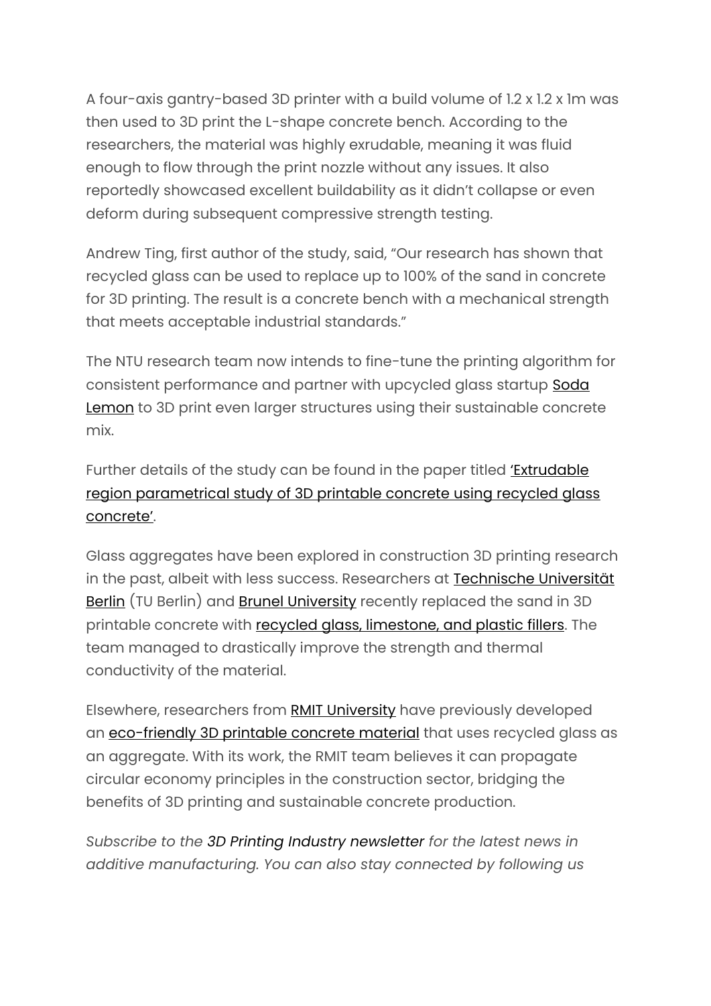A four-axis gantry-based 3D printer with a build volume of 1.2 x 1.2 x 1m was then used to 3D print the L-shape concrete bench. According to the researchers, the material was highly exrudable, meaning it was fluid enough to flow through the print nozzle without any issues. It also reportedly showcased excellent buildability as it didn't collapse or even deform during subsequent compressive strength testing.

Andrew Ting, first author of the study, said, "Our research has shown that recycled glass can be used to replace up to 100% of the sand in concrete for 3D printing. The result is a concrete bench with a mechanical strength that meets acceptable industrial standards."

The NTU research team now intends to fine-tune the printing algorithm for consistent performance and partner with upcycled glass startup [Soda](https://www.sodalemonsg.com/) [Lemon](https://www.sodalemonsg.com/) to 3D print even larger structures using their sustainable concrete mix.

Further details of the study can be found in the paper titled ['Extrudable](https://www.sciencedirect.com/science/article/abs/pii/S2352710222001048) region [parametrical](https://www.sciencedirect.com/science/article/abs/pii/S2352710222001048) study of 3D printable concrete using recycled glass [concrete'](https://www.sciencedirect.com/science/article/abs/pii/S2352710222001048).

Glass aggregates have been explored in construction 3D printing research in the past, albeit with less success. Researchers at [Technische](https://www.tu.berlin/en/) Universität [Berlin](https://www.tu.berlin/en/) (TU Berlin) and Brunel [University](https://www.brunel.ac.uk/) recently replaced the sand in 3D printable concrete with recycled glass, [limestone,](https://3dprintingindustry.com/news/recycled-glass-found-to-improve-the-strength-and-sustainability-of-3d-printing-concrete-206338/) and plastic fillers. The team managed to drastically improve the strength and thermal conductivity of the material.

Elsewhere, researchers from RMIT [University](https://www.rmit.edu.au/) have previously developed an [eco-friendly](https://3dprintingindustry.com/news/researchers-use-recycled-glass-to-develop-new-eco-friendly-3d-printable-concrete-200598/) 3D printable concrete material that uses recycled glass as an aggregate. With its work, the RMIT team believes it can propagate circular economy principles in the construction sector, bridging the benefits of 3D printing and sustainable concrete production.

*Subscribe to the 3D Printing Industry [newsletter](https://3dprintingindustry.com/newsletter) for the latest news in additive manufacturing. You can also stay connected by following us*